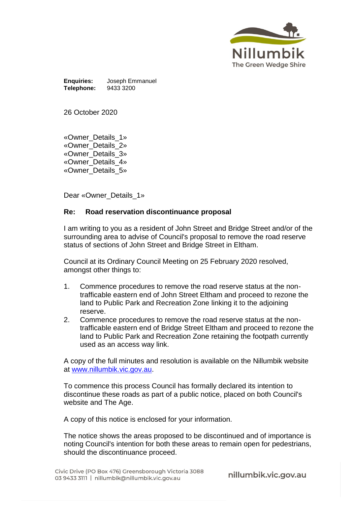

**Enquiries:** Joseph Emmanuel **Telephone:** 

26 October 2020

«Owner\_Details\_1» «Owner\_Details\_2» «Owner\_Details\_3» «Owner\_Details\_4» «Owner\_Details\_5»

Dear «Owner Details 1»

## **Re: Road reservation discontinuance proposal**

I am writing to you as a resident of John Street and Bridge Street and/or of the surrounding area to advise of Council's proposal to remove the road reserve status of sections of John Street and Bridge Street in Eltham.

Council at its Ordinary Council Meeting on 25 February 2020 resolved, amongst other things to:

- 1. Commence procedures to remove the road reserve status at the nontrafficable eastern end of John Street Eltham and proceed to rezone the land to Public Park and Recreation Zone linking it to the adjoining reserve.
- 2. Commence procedures to remove the road reserve status at the nontrafficable eastern end of Bridge Street Eltham and proceed to rezone the land to Public Park and Recreation Zone retaining the footpath currently used as an access way link.

A copy of the full minutes and resolution is available on the Nillumbik website at [www.nillumbik.vic.gov.au.](http://www.nillumbik.vic.gov.au/)

To commence this process Council has formally declared its intention to discontinue these roads as part of a public notice, placed on both Council's website and The Age.

A copy of this notice is enclosed for your information.

The notice shows the areas proposed to be discontinued and of importance is noting Council's intention for both these areas to remain open for pedestrians, should the discontinuance proceed.

nillumbik.vic.gov.au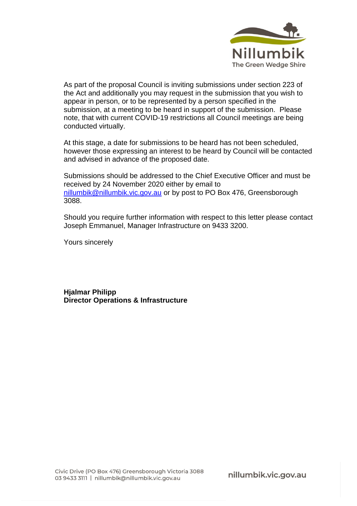

As part of the proposal Council is inviting submissions under section 223 of the Act and additionally you may request in the submission that you wish to appear in person, or to be represented by a person specified in the submission, at a meeting to be heard in support of the submission. Please note, that with current COVID-19 restrictions all Council meetings are being conducted virtually.

At this stage, a date for submissions to be heard has not been scheduled, however those expressing an interest to be heard by Council will be contacted and advised in advance of the proposed date.

Submissions should be addressed to the Chief Executive Officer and must be received by 24 November 2020 either by email to [nillumbik@nillumbik.vic.gov.au](mailto:nillumbik@nillumbik.vic.gov.au) or by post to PO Box 476, Greensborough 3088.

Should you require further information with respect to this letter please contact Joseph Emmanuel, Manager Infrastructure on 9433 3200.

Yours sincerely

**Hjalmar Philipp Director Operations & Infrastructure**

nillumbik.vic.gov.au